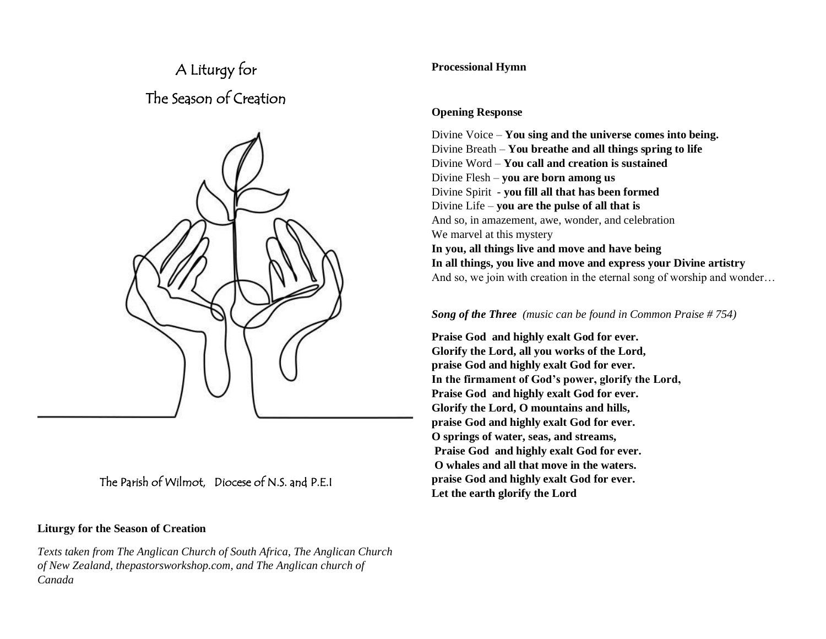A Liturgy for The Season of Creation



The Parish of Wilmot, Diocese of N.S. and P.E.I

### **Liturgy for the Season of Creation**

*Texts taken from The Anglican Church of South Africa, The Anglican Church of New Zealand, thepastorsworkshop.com, and The Anglican church of Canada*

## **Processional Hymn**

#### **Opening Response**

Divine Voice – **You sing and the universe comes into being.** Divine Breath – **You breathe and all things spring to life** Divine Word – **You call and creation is sustained** Divine Flesh – **you are born among us** Divine Spirit - **you fill all that has been formed** Divine Life – **you are the pulse of all that is** And so, in amazement, awe, wonder, and celebration We marvel at this mystery **In you, all things live and move and have being In all things, you live and move and express your Divine artistry** And so, we join with creation in the eternal song of worship and wonder…

*Song of the Three (music can be found in Common Praise # 754)*

**Praise God and highly exalt God for ever. Glorify the Lord, all you works of the Lord, praise God and highly exalt God for ever. In the firmament of God's power, glorify the Lord, Praise God and highly exalt God for ever. Glorify the Lord, O mountains and hills, praise God and highly exalt God for ever. O springs of water, seas, and streams, Praise God and highly exalt God for ever. O whales and all that move in the waters. praise God and highly exalt God for ever. Let the earth glorify the Lord**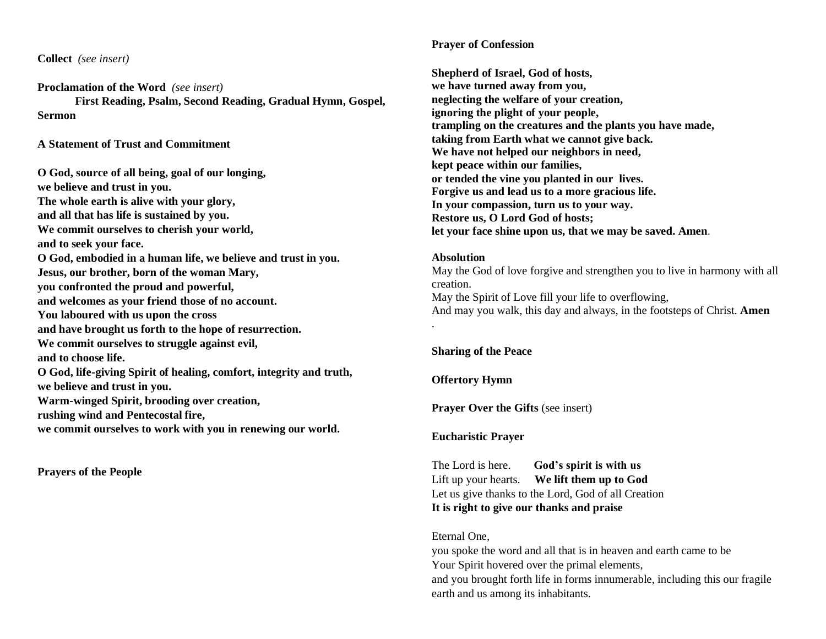**Collect** *(see insert)*

**Proclamation of the Word** *(see insert)*

**First Reading, Psalm, Second Reading, Gradual Hymn, Gospel, Sermon**

**A Statement of Trust and Commitment**

**O God, source of all being, goal of our longing, we believe and trust in you. The whole earth is alive with your glory, and all that has life is sustained by you. We commit ourselves to cherish your world, and to seek your face. O God, embodied in a human life, we believe and trust in you. Jesus, our brother, born of the woman Mary, you confronted the proud and powerful, and welcomes as your friend those of no account. You laboured with us upon the cross and have brought us forth to the hope of resurrection. We commit ourselves to struggle against evil, and to choose life. O God, life-giving Spirit of healing, comfort, integrity and truth, we believe and trust in you. Warm-winged Spirit, brooding over creation, rushing wind and Pentecostal fire, we commit ourselves to work with you in renewing our world.**

**Prayers of the People**

#### **Prayer of Confession**

**Shepherd of Israel, God of hosts, we have turned away from you, neglecting the welfare of your creation, ignoring the plight of your people, trampling on the creatures and the plants you have made, taking from Earth what we cannot give back. We have not helped our neighbors in need, kept peace within our families, or tended the vine you planted in our lives. Forgive us and lead us to a more gracious life. In your compassion, turn us to your way. Restore us, O Lord God of hosts; let your face shine upon us, that we may be saved. Amen**.

#### **Absolution**

May the God of love forgive and strengthen you to live in harmony with all creation. May the Spirit of Love fill your life to overflowing, And may you walk, this day and always, in the footsteps of Christ. **Amen** .

**Sharing of the Peace** 

**Offertory Hymn**

**Prayer Over the Gifts (see insert)** 

**Eucharistic Prayer**

The Lord is here. **God's spirit is with us** Lift up your hearts. **We lift them up to God** Let us give thanks to the Lord, God of all Creation **It is right to give our thanks and praise**

Eternal One,

you spoke the word and all that is in heaven and earth came to be Your Spirit hovered over the primal elements, and you brought forth life in forms innumerable, including this our fragile earth and us among its inhabitants.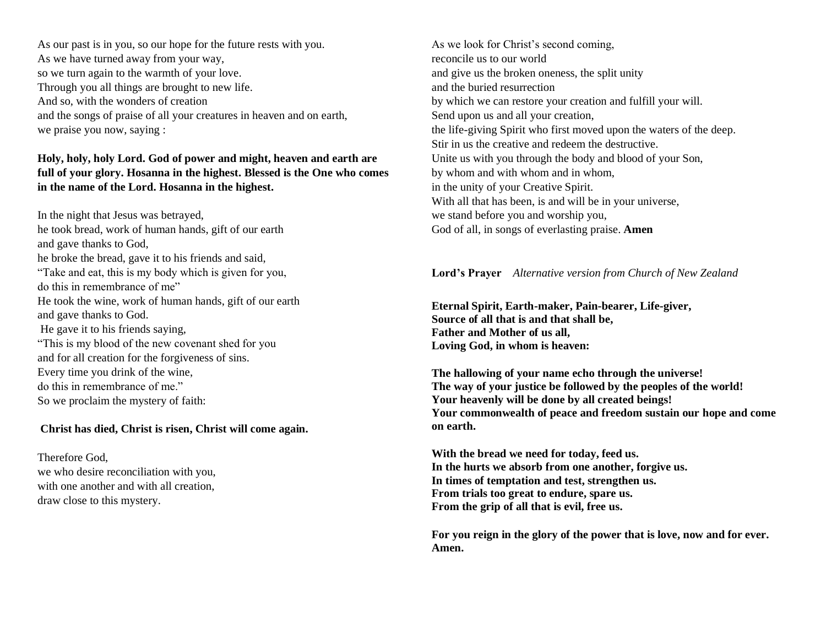As our past is in you, so our hope for the future rests with you. As we have turned away from your way, so we turn again to the warmth of your love. Through you all things are brought to new life. And so, with the wonders of creation and the songs of praise of all your creatures in heaven and on earth, we praise you now, saying :

## **Holy, holy, holy Lord. God of power and might, heaven and earth are full of your glory. Hosanna in the highest. Blessed is the One who comes in the name of the Lord. Hosanna in the highest.**

In the night that Jesus was betrayed, he took bread, work of human hands, gift of our earth and gave thanks to God, he broke the bread, gave it to his friends and said, "Take and eat, this is my body which is given for you, do this in remembrance of me" He took the wine, work of human hands, gift of our earth and gave thanks to God. He gave it to his friends saying, "This is my blood of the new covenant shed for you and for all creation for the forgiveness of sins. Every time you drink of the wine, do this in remembrance of me." So we proclaim the mystery of faith:

## **Christ has died, Christ is risen, Christ will come again.**

Therefore God, we who desire reconciliation with you, with one another and with all creation. draw close to this mystery.

As we look for Christ's second coming, reconcile us to our world and give us the broken oneness, the split unity and the buried resurrection by which we can restore your creation and fulfill your will. Send upon us and all your creation, the life-giving Spirit who first moved upon the waters of the deep. Stir in us the creative and redeem the destructive. Unite us with you through the body and blood of your Son, by whom and with whom and in whom, in the unity of your Creative Spirit. With all that has been, is and will be in your universe, we stand before you and worship you, God of all, in songs of everlasting praise. **Amen**

**Lord's Prayer** *Alternative version from Church of New Zealand* 

**Eternal Spirit, Earth-maker, Pain-bearer, Life-giver, Source of all that is and that shall be, Father and Mother of us all, Loving God, in whom is heaven:**

**The hallowing of your name echo through the universe! The way of your justice be followed by the peoples of the world! Your heavenly will be done by all created beings! Your commonwealth of peace and freedom sustain our hope and come on earth.**

**With the bread we need for today, feed us. In the hurts we absorb from one another, forgive us. In times of temptation and test, strengthen us. From trials too great to endure, spare us. From the grip of all that is evil, free us.**

**For you reign in the glory of the power that is love, now and for ever. Amen.**